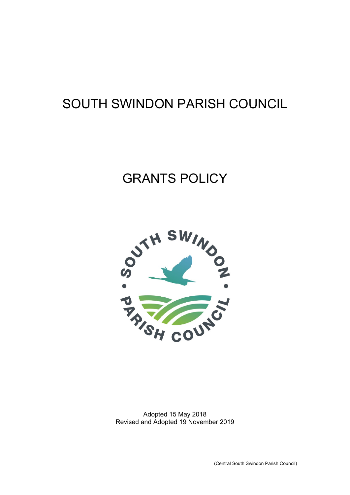# SOUTH SWINDON PARISH COUNCIL

# GRANTS POLICY



Adopted 15 May 2018 Revised and Adopted 19 November 2019

(Central South Swindon Parish Council)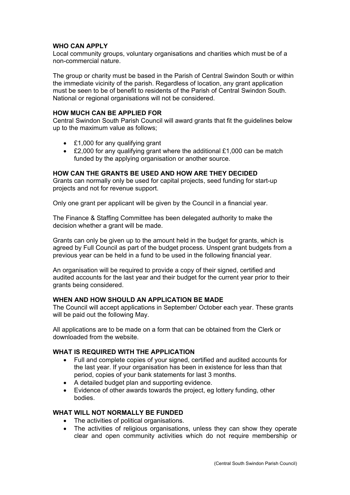### **WHO CAN APPLY**

Local community groups, voluntary organisations and charities which must be of a non-commercial nature.

The group or charity must be based in the Parish of Central Swindon South or within the immediate vicinity of the parish. Regardless of location, any grant application must be seen to be of benefit to residents of the Parish of Central Swindon South. National or regional organisations will not be considered.

### **HOW MUCH CAN BE APPLIED FOR**

Central Swindon South Parish Council will award grants that fit the guidelines below up to the maximum value as follows;

- £1,000 for any qualifying grant
- £2,000 for any qualifying grant where the additional £1,000 can be match funded by the applying organisation or another source.

## **HOW CAN THE GRANTS BE USED AND HOW ARE THEY DECIDED**

Grants can normally only be used for capital projects, seed funding for start-up projects and not for revenue support.

Only one grant per applicant will be given by the Council in a financial year.

The Finance & Staffing Committee has been delegated authority to make the decision whether a grant will be made.

Grants can only be given up to the amount held in the budget for grants, which is agreed by Full Council as part of the budget process. Unspent grant budgets from a previous year can be held in a fund to be used in the following financial year.

An organisation will be required to provide a copy of their signed, certified and audited accounts for the last year and their budget for the current year prior to their grants being considered.

## **WHEN AND HOW SHOULD AN APPLICATION BE MADE**

The Council will accept applications in September/ October each year. These grants will be paid out the following May.

All applications are to be made on a form that can be obtained from the Clerk or downloaded from the website.

## **WHAT IS REQUIRED WITH THE APPLICATION**

- Full and complete copies of your signed, certified and audited accounts for the last year. If your organisation has been in existence for less than that period, copies of your bank statements for last 3 months.
- A detailed budget plan and supporting evidence.
- Evidence of other awards towards the project, eg lottery funding, other bodies.

#### **WHAT WILL NOT NORMALLY BE FUNDED**

- The activities of political organisations.
- The activities of religious organisations, unless they can show they operate clear and open community activities which do not require membership or